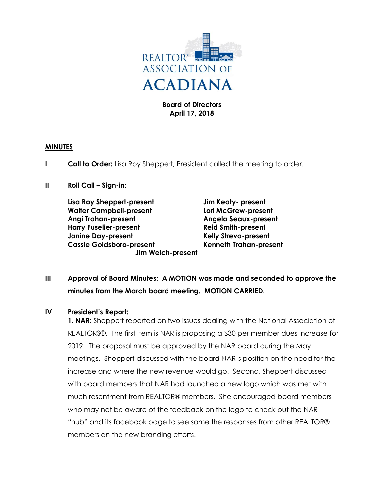

## **Board of Directors April 17, 2018**

## **MINUTES**

- **I Call to Order:** Lisa Roy Sheppert, President called the meeting to order.
- **II Roll Call – Sign-in:**

**Lisa Roy Sheppert-present Jim Keaty- present Walter Campbell-present Lori McGrew-present Angi Trahan-present Angela Seaux-present Harry Fuselier-present Reid Smith-present Janine Day-present Kelly Streva-present Cassie Goldsboro-present Kenneth Trahan-present Jim Welch-present**

**III Approval of Board Minutes: A MOTION was made and seconded to approve the minutes from the March board meeting. MOTION CARRIED.**

## **IV President's Report:**

**1. NAR:** Sheppert reported on two issues dealing with the National Association of REALTORS®. The first item is NAR is proposing a \$30 per member dues increase for 2019. The proposal must be approved by the NAR board during the May meetings. Sheppert discussed with the board NAR's position on the need for the increase and where the new revenue would go. Second, Sheppert discussed with board members that NAR had launched a new logo which was met with much resentment from REALTOR® members. She encouraged board members who may not be aware of the feedback on the logo to check out the NAR "hub" and its facebook page to see some the responses from other REALTOR® members on the new branding efforts.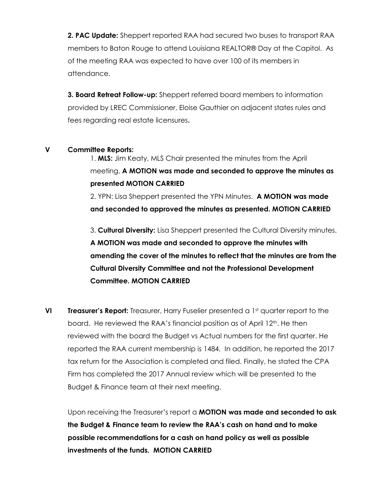**2. PAC Update:** Sheppert reported RAA had secured two buses to transport RAA members to Baton Rouge to attend Louisiana REALTOR® Day at the Capitol. As of the meeting RAA was expected to have over 100 of its members in attendance.

**3. Board Retreat Follow-up:** Sheppert referred board members to information provided by LREC Commissioner, Eloise Gauthier on adjacent states rules and fees regarding real estate licensures**.** 

## **V Committee Reports:**

1. **MLS:** Jim Keaty, MLS Chair presented the minutes from the April meeting. **A MOTION was made and seconded to approve the minutes as presented MOTION CARRIED**

2. YPN: Lisa Sheppert presented the YPN Minutes. **A MOTION was made and seconded to approved the minutes as presented. MOTION CARRIED**

3. **Cultural Diversity:** Lisa Sheppert presented the Cultural Diversity minutes. **A MOTION was made and seconded to approve the minutes with amending the cover of the minutes to reflect that the minutes are from the Cultural Diversity Committee and not the Professional Development Committee. MOTION CARRIED**

**VI Treasurer's Report:** Treasurer, Harry Fuselier presented a 1<sup>st</sup> quarter report to the board. He reviewed the RAA's financial position as of April  $12<sup>th</sup>$ . He then reviewed with the board the Budget vs Actual numbers for the first quarter. He reported the RAA current membership is 1484. In addition, he reported the 2017 tax return for the Association is completed and filed. Finally, he stated the CPA Firm has completed the 2017 Annual review which will be presented to the Budget & Finance team at their next meeting.

Upon receiving the Treasurer's report a **MOTION was made and seconded to ask the Budget & Finance team to review the RAA's cash on hand and to make possible recommendations for a cash on hand policy as well as possible investments of the funds. MOTION CARRIED**